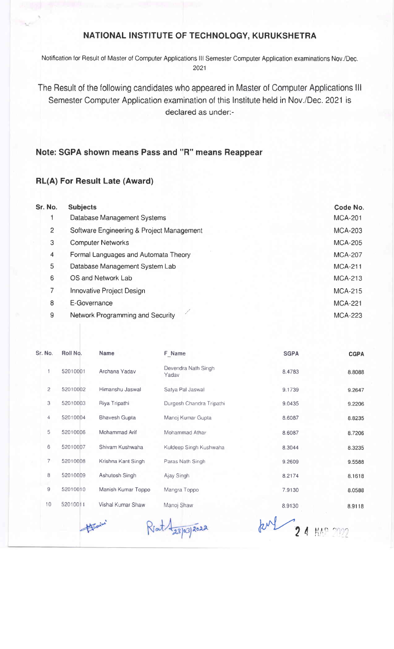## NATIONAL INSTITUTE OF TECHNOLOGY, KURUKSHETRA

Notification for Result of Master of Computer Applications III Semester Computer Application examinations Nov./Dec. 2021

The Result of the following candidates who appeared in Master of Computer Applications lll Semester Computer Application examination of this lnstitute held in Nov./Dec. 2021 is declared as under:-

## Note: SGPA shown means Pass and "R" means Reappear

## RL(A) For Result Late (Award)

| Sr. No.        | <b>Subjects</b>                           | Code No.       |
|----------------|-------------------------------------------|----------------|
|                | Database Management Systems               | <b>MCA-201</b> |
| $\overline{2}$ | Software Engineering & Project Management | <b>MCA-203</b> |
| 3              | <b>Computer Networks</b>                  | <b>MCA-205</b> |
| 4              | Formal Languages and Automata Theory      | <b>MCA-207</b> |
| 5              | Database Management System Lab            | <b>MCA-211</b> |
| 6              | OS and Network Lab                        | <b>MCA-213</b> |
| 7              | Innovative Project Design                 | <b>MCA-215</b> |
| 8              | E-Governance                              | <b>MCA-221</b> |
| 9              | Network Programming and Security          | <b>MCA-223</b> |

| Sr. No.        | Roll No. | <b>Name</b>          | F_Name                       | <b>SGPA</b> | <b>CGPA</b> |
|----------------|----------|----------------------|------------------------------|-------------|-------------|
| 1              | 52010001 | Archana Yadav        | Devendra Nath Singh<br>Yadav | 8.4783      | 8.8088      |
| $\overline{c}$ | 52010002 | Himanshu Jaswal      | Satya Pal Jaswal             | 9.1739      | 9.2647      |
| 3              | 52010003 | Riya Tripathi        | Durgesh Chandra Tripathi     | 9.0435      | 9.2206      |
| 4              | 52010004 | <b>Bhavesh Gupta</b> | Manoj Kumar Gupta            | 8.6087      | 8.8235      |
| 5              | 52010006 | Mohammad Arif        | Mohammad Athar               | 8.6087      | 8.7206      |
| 6              | 52010007 | Shivam Kushwaha      | Kuldeep Singh Kushwaha       | 8.3044      | 8.3235      |
| $\overline{7}$ | 52010008 | Krishna Kant Singh   | Paras Nath Singh             | 9.2609      | 9.5588      |
| 8              | 52010009 | Ashutosh Singh       | Ajay Singh                   | 8.2174      | 8.1618      |
| 9              | 52010010 | Manish Kumar Toppo   | Mangra Toppo                 | 7.9130      | 8.0588      |
| 10             | 52010011 | Vishal Kumar Shaw    | Manoj Shaw                   | 8.9130      | 8.9118      |
|                |          |                      | 23/03/2022                   |             |             |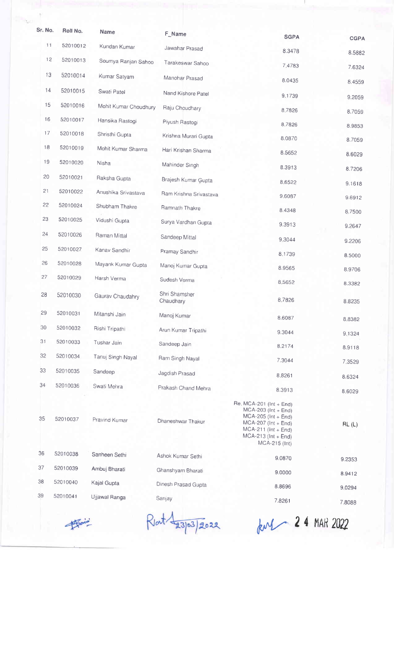| Sr. No. | Roll No. | Name                  | F_Name                 |                                                                                                                                                                       |             |
|---------|----------|-----------------------|------------------------|-----------------------------------------------------------------------------------------------------------------------------------------------------------------------|-------------|
| 11      | 52010012 | Kundan Kumar          | Jawahar Prasad         | <b>SGPA</b>                                                                                                                                                           | <b>CGPA</b> |
| 12      | 52010013 | Soumya Ranjan Sahoo   | Tarakeswar Sahoo       | 8.3478                                                                                                                                                                | 8.5882      |
| 13      | 52010014 | Kumar Satyam          |                        | 7.4783                                                                                                                                                                | 7.6324      |
| 14      | 52010015 |                       | Manohar Prasad         | 8.0435                                                                                                                                                                | 8.4559      |
|         |          | Swati Patel           | Nand Kishore Patel     | 9.1739                                                                                                                                                                | 9.2059      |
| 15      | 52010016 | Mohit Kumar Choudhury | Raju Choudhary         | 8.7826                                                                                                                                                                | 8.7059      |
| 16      | 52010017 | Hansika Rastogi       | Piyush Rastogi         | 8.7826                                                                                                                                                                | 8.9853      |
| 17      | 52010018 | Shristhi Gupta        | Krishna Murari Gupta   | 8.0870                                                                                                                                                                | 8.7059      |
| 18      | 52010019 | Mohit Kumar Sharma    | Hari Krishan Sharma    | 8.5652                                                                                                                                                                | 8.6029      |
| 19      | 52010020 | Nisha                 | Mahinder Singh         | 8.3913                                                                                                                                                                | 8.7206      |
| 20      | 52010021 | Raksha Gupta          | Brajesh Kumar Gupta    | 8.6522                                                                                                                                                                | 9.1618      |
| 21      | 52010022 | Anushika Srivastava   | Ram Krishna Srivastava | 9.6087                                                                                                                                                                | 9.6912      |
| 22      | 52010024 | Shubham Thakre        | Ramnath Thakre         | 8.4348                                                                                                                                                                | 8.7500      |
| 23      | 52010025 | Vidushi Gupta         | Surya Vardhan Gupta    | 9.3913                                                                                                                                                                | 9.2647      |
| 24      | 52010026 | Raman Mittal          | Sandeep Mittal         | 9,3044                                                                                                                                                                | 9.2206      |
| 25      | 52010027 | Kanav Sandhir         | Pramay Sandhir         | 8.1739                                                                                                                                                                | 8.5000      |
| 26      | 52010028 | Mayank Kumar Gupta    | Manoj Kumar Gupta      | 8.9565                                                                                                                                                                | 8.9706      |
| 27      | 52010029 | Harsh Verma           | Sudesh Verma           | 8.5652                                                                                                                                                                | 8.3382      |
| 28      | 52010030 | Gaurav Chaudahry      | Shri Shamsher          |                                                                                                                                                                       |             |
|         |          |                       | Chaudhary              | 8.7826                                                                                                                                                                | 8.8235      |
| 29      | 52010031 | Mitanshi Jain         | Manoj Kumar            | 8.6087                                                                                                                                                                | 8.8382      |
| 30      | 52010032 | Rishi Tripathi        | Arun Kumar Tripathi    | 9.3044                                                                                                                                                                | 9.1324      |
| 31      | 52010033 | Tushar Jain           | Sandeep Jain           | 8.2174                                                                                                                                                                | 8.9118      |
| 32      | 52010034 | Tanuj Singh Nayal     | Ram Singh Nayal        | 7.3044                                                                                                                                                                | 7.3529      |
| 33      | 52010035 | Sandeep               | Jagdish Prasad         | 8.8261                                                                                                                                                                | 8.6324      |
| 34      | 52010036 | Swati Mehra           | Prakash Chand Mehra    | 8.3913                                                                                                                                                                | 8.6029      |
| 35      | 52010037 | Pravind Kumar         | Dhaneshwar Thakur      | Re. MCA-201 (Int + End)<br>$MCA-203$ (Int + End)<br>$MCA-205$ (Int + End)<br>$MCA-207$ (Int + End)<br>$MCA-211$ (Int + End)<br>$MCA-213$ (Int + End)<br>MCA-215 (Int) | RL(L)       |
| 36      | 52010038 | Sanheen Sethi         | Ashok Kumar Sethi      | 9.0870                                                                                                                                                                | 9.2353      |
| 37      | 52010039 | Ambuj Bharati         | Ghanshyam Bharati      | 9.0000                                                                                                                                                                | 8.9412      |
| 38      | 52010040 | Kajal Gupta           | Dinesh Prasad Gupta    | 8.8696                                                                                                                                                                | 9.0294      |
| 39      | 52010041 | Ujjawal Ranga         | Sanjay                 | 7.8261                                                                                                                                                                | 7.8088      |
|         | Formin   |                       | 03/2022                | $km1 - 24$ MAR 2022                                                                                                                                                   |             |

Rlat 23/03/2022 furt 24 MAR 2022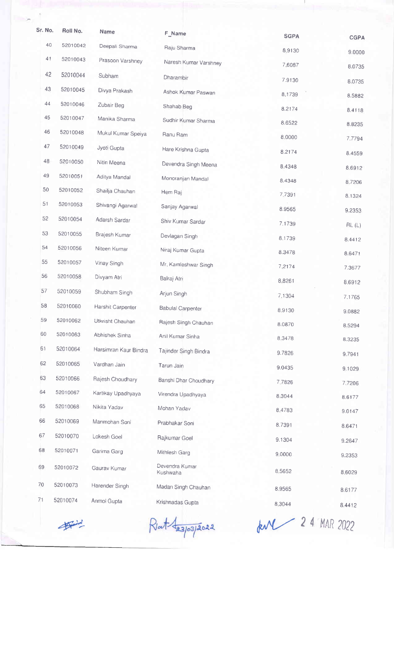| Sr. No. | Roll No.             | Name                  | F_Name                     | <b>SGPA</b>            | <b>CGPA</b> |
|---------|----------------------|-----------------------|----------------------------|------------------------|-------------|
| 40      | 52010042             | Deepali Sharma        | Raju Sharma                | 8,9130                 | 9.0000      |
| 41      | 52010043             | Prasoon Varshney      | Naresh Kumar Varshney      | 7.6087                 |             |
| 42      | 52010044             | Subham                | Dharambir                  | 7.9130                 | 8.0735      |
| 43      | 52010045             | Divya Prakash         | Ashok Kumar Paswan         | 8.1739                 | 8.0735      |
| 44      | 52010046             | Zubair Beg            | Shahab Beg                 | 8.2174                 | 8.5882      |
| 45      | 52010047             | Manika Sharma         | Sudhir Kumar Sharma        | 8.6522                 | 8.4118      |
| 46      | 52010048             | Mukul Kumar Speiya    | Ranu Ram                   | 8.0000                 | 8.8235      |
| 47      | 52010049             | Jyoti Gupta           | Hare Krishna Gupta         |                        | 7.7794      |
| 48      | 52010050             | Nitin Meena           | Devendra Singh Meena       | 8.2174                 | 8.4559      |
| 49      | 52010051             | Aditya Mandal         | Monoranjan Mandal          | 8.4348                 | 8.6912      |
| 50      | 52010052             | Shailja Chauhan       | Hem Raj                    | 8.4348                 | 8.7206      |
| 51      | 52010053             | Shivangi Agarwal      | Sanjay Agarwal             | 7,7391                 | 8.1324      |
| 52      | 52010054             | Adarsh Sardar         | Shiv Kumar Sardar          | 8.9565                 | 9.2353      |
| 53      | 52010055             | Brajesh Kumar         |                            | 7.1739                 | RL(L)       |
| 54      | 52010056             | Niteen Kumar          | Devlagan Singh             | 8.1739                 | 8.4412      |
| 55      | 52010057             | Vinay Singh           | Niraj Kumar Gupta          | 8.3478                 | 8.6471      |
| 56      | 52010058             | Divyam Atri           | Mr. Kamleshwar Singh       | 7.2174                 | 7.3677      |
| 57      | 52010059             | Shubham Singh         | Balraj Atri                | 8.8261                 | 8.6912      |
| 58      |                      |                       | Arjun Singh                | 7.1304                 | 7.1765      |
| 59      | 52010060<br>52010062 | Harshit Carpenter     | <b>Babulal Carpenter</b>   | 8,9130                 | 9.0882      |
| 60      |                      | Utkrisht Chauhan      | Rajesh Singh Chauhan       | 8.0870                 | 8.5294      |
|         | 52010063             | Abhishek Sinha        | Anil Kumar Sinha           | 8.3478                 | 8.3235      |
| 61      | 52010064             | Harsimran Kaur Bindra | Tajinder Singh Bindra      | 9.7826                 | 9.7941      |
| 62      | 52010065             | Vardhan Jain          | Tarun Jain                 | 9.0435                 | 9.1029      |
| 63      | 52010066             | Rajesh Choudhary      | Banshi Dhar Choudhary      | 7.7826                 | 7.7206      |
| 64      | 52010067             | Kartikay Upadhyaya    | Virendra Upadhyaya         | 8.3044                 | 8.6177      |
| 65      | 52010068             | Nikita Yadav          | Mohan Yadav                | 8.4783                 | 9.0147      |
| 66      | 52010069             | Manmohan Soni         | Prabhakar Soni             | 8.7391                 | 8.6471      |
| 67      | 52010070             | Lokesh Goel           | Rajkumar Goel              | 9.1304                 | 9.2647      |
| 68      | 52010071             | Garima Garg           | Mithlesh Garg              | 9.0000                 | 9.2353      |
| 69      | 52010072             | Gaurav Kumar          | Devendra Kumar<br>Kushwaha | 8.5652                 | 8.6029      |
| 70      | 52010073             | Harender Singh        | Madan Singh Chauhan        | 8.9565                 | 8.6177      |
| 71      | 52010074             | Anmol Gupta           | Krishnadas Gupta           | 8.3044                 | 8.4412      |
|         |                      |                       | 23/03/2022                 | <b>ANY</b> 24 MAR 2022 |             |
|         |                      |                       |                            |                        |             |